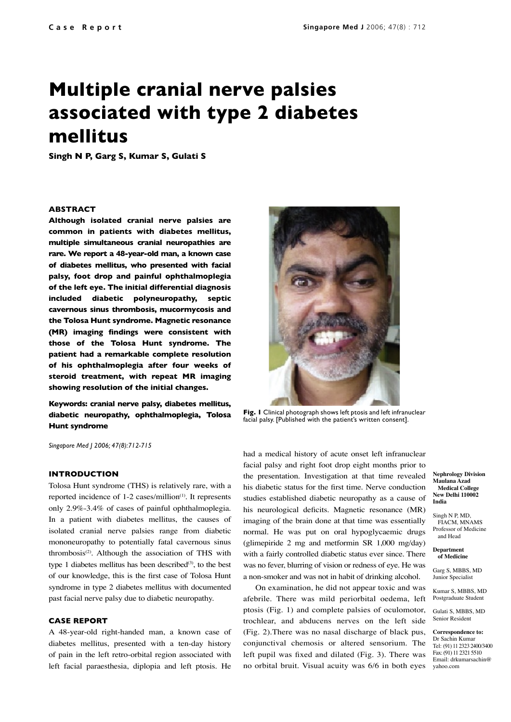# **Multiple cranial nerve palsies associated with type 2 diabetes mellitus**

**Singh N P, Garg S, Kumar S, Gulati S**

## **ABSTRACT**

**Although isolated cranial nerve palsies are common in patients with diabetes mellitus, multiple simultaneous cranial neuropathies are rare. We report a 48-year-old man, a known case of diabetes mellitus, who presented with facial palsy, foot drop and painful ophthalmoplegia of the left eye. The initial differential diagnosis included diabetic polyneuropathy, septic cavernous sinus thrombosis, mucormycosis and the Tolosa Hunt syndrome. Magnetic resonance (MR) imaging findings were consistent with those of the Tolosa Hunt syndrome. The patient had a remarkable complete resolution of his ophthalmoplegia after four weeks of steroid treatment, with repeat MR imaging showing resolution of the initial changes.**

**Keywords: cranial nerve palsy, diabetes mellitus, diabetic neuropathy, ophthalmoplegia, Tolosa Hunt syndrome** 

*Singapore Med J 2006; 47(8):712-715*

## **INTRODUCTION**

Tolosa Hunt syndrome (THS) is relatively rare, with a reported incidence of 1-2 cases/million<sup>(1)</sup>. It represents only 2.9%-3.4% of cases of painful ophthalmoplegia. In a patient with diabetes mellitus, the causes of isolated cranial nerve palsies range from diabetic mononeuropathy to potentially fatal cavernous sinus thrombosis(2). Although the association of THS with type 1 diabetes mellitus has been described $(3)$ , to the best of our knowledge, this is the first case of Tolosa Hunt syndrome in type 2 diabetes mellitus with documented past facial nerve palsy due to diabetic neuropathy.

#### **CASE REPORT**

A 48-year-old right-handed man, a known case of diabetes mellitus, presented with a ten-day history of pain in the left retro-orbital region associated with left facial paraesthesia, diplopia and left ptosis. He



**Fig. 1** Clinical photograph shows left ptosis and left infranuclear facial palsy. [Published with the patient's written consent].

had a medical history of acute onset left infranuclear facial palsy and right foot drop eight months prior to the presentation. Investigation at that time revealed his diabetic status for the first time. Nerve conduction studies established diabetic neuropathy as a cause of his neurological deficits. Magnetic resonance (MR) imaging of the brain done at that time was essentially normal. He was put on oral hypoglycaemic drugs (glimepiride 2 mg and metformin SR 1,000 mg/day) with a fairly controlled diabetic status ever since. There was no fever, blurring of vision or redness of eye. He was a non-smoker and was not in habit of drinking alcohol.

On examination, he did not appear toxic and was afebrile. There was mild periorbital oedema, left ptosis (Fig. 1) and complete palsies of oculomotor, trochlear, and abducens nerves on the left side (Fig. 2).There was no nasal discharge of black pus, conjunctival chemosis or altered sensorium. The left pupil was fixed and dilated (Fig. 3). There was no orbital bruit. Visual acuity was 6/6 in both eyes

**Nephrology Division Maulana Azad Medical College New Delhi 110002 India**

Singh N P, MD, FIACM, MNAMS Professor of Medicine and Head

**Department of Medicine**

Garg S, MBBS, MD Junior Specialist

Kumar S, MBBS, MD Postgraduate Student

Gulati S, MBBS, MD Senior Resident

**Correspondence to:** Dr Sachin Kumar Tel: (91) 11 2323 2400/3400 Fax: (91) 11 2321 5510 Email: drkumarsachin@ yahoo.com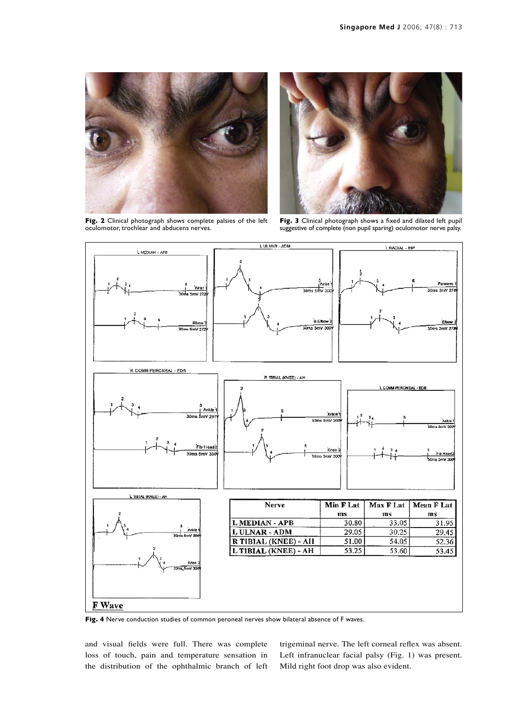

**Fig. 2** Clinical photograph shows complete palsies of the left oculomotor, trochlear and abducens nerves.



**Fig. 3** Clinical photograph shows a fixed and dilated left pupil suggestive of complete (non pupil sparing) oculomotor nerve palsy.



Fig. 4 Nerve conduction studies of common peroneal nerves show bilateral absence of F waves.

and visual fields were full. There was complete loss of touch, pain and temperature sensation in the distribution of the ophthalmic branch of left trigeminal nerve. The left corneal reflex was absent. Left infranuclear facial palsy (Fig. 1) was present. Mild right foot drop was also evident.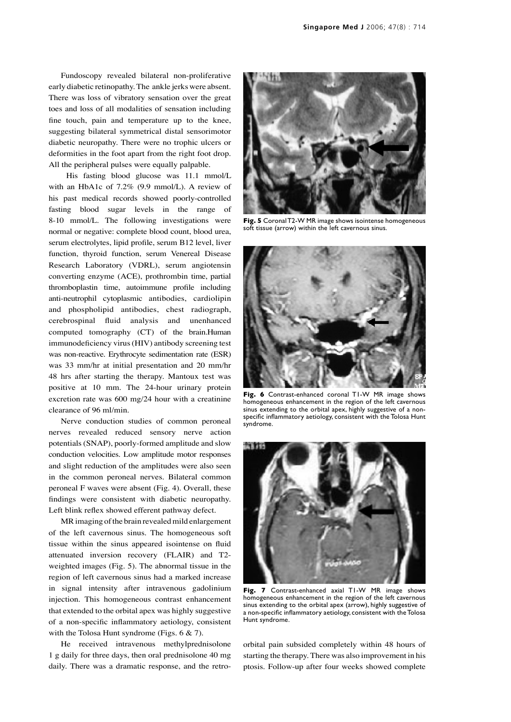Fundoscopy revealed bilateral non-proliferative early diabetic retinopathy. The ankle jerks were absent. There was loss of vibratory sensation over the great toes and loss of all modalities of sensation including fine touch, pain and temperature up to the knee, suggesting bilateral symmetrical distal sensorimotor diabetic neuropathy. There were no trophic ulcers or deformities in the foot apart from the right foot drop. All the peripheral pulses were equally palpable.

 His fasting blood glucose was 11.1 mmol/L with an HbA1c of 7.2% (9.9 mmol/L). A review of his past medical records showed poorly-controlled fasting blood sugar levels in the range of 8-10 mmol/L. The following investigations were normal or negative: complete blood count, blood urea, serum electrolytes, lipid profile, serum B12 level, liver function, thyroid function, serum Venereal Disease Research Laboratory (VDRL), serum angiotensin converting enzyme (ACE), prothrombin time, partial thromboplastin time, autoimmune profile including anti-neutrophil cytoplasmic antibodies, cardiolipin and phospholipid antibodies, chest radiograph, cerebrospinal fluid analysis and unenhanced computed tomography (CT) of the brain.Human immunodeficiency virus (HIV) antibody screening test was non-reactive. Erythrocyte sedimentation rate (ESR) was 33 mm/hr at initial presentation and 20 mm/hr 48 hrs after starting the therapy. Mantoux test was positive at 10 mm. The 24-hour urinary protein excretion rate was 600 mg/24 hour with a creatinine clearance of 96 ml/min.

Nerve conduction studies of common peroneal nerves revealed reduced sensory nerve action potentials (SNAP), poorly-formed amplitude and slow conduction velocities. Low amplitude motor responses and slight reduction of the amplitudes were also seen in the common peroneal nerves. Bilateral common peroneal F waves were absent (Fig. 4). Overall, these findings were consistent with diabetic neuropathy. Left blink reflex showed efferent pathway defect.

MR imaging of the brain revealed mild enlargement of the left cavernous sinus. The homogeneous soft tissue within the sinus appeared isointense on fluid attenuated inversion recovery (FLAIR) and T2 weighted images (Fig. 5). The abnormal tissue in the region of left cavernous sinus had a marked increase in signal intensity after intravenous gadolinium injection. This homogeneous contrast enhancement that extended to the orbital apex was highly suggestive of a non-specific inflammatory aetiology, consistent with the Tolosa Hunt syndrome (Figs. 6 & 7).

He received intravenous methylprednisolone 1 g daily for three days, then oral prednisolone 40 mg daily. There was a dramatic response, and the retro-



**Fig. 5** Coronal T2-W MR image shows isointense homogeneous soft tissue (arrow) within the left cavernous sinus.



**Fig. 6** Contrast-enhanced coronal T1-W MR image shows homogeneous enhancement in the region of the left cavernous sinus extending to the orbital apex, highly suggestive of a nonspecific inflammatory aetiology, consistent with the Tolosa Hunt syndrome.



**Fig. 7** Contrast-enhanced axial T1-W MR image shows homogeneous enhancement in the region of the left cavernous sinus extending to the orbital apex (arrow), highly suggestive of a non-specific inflammatory aetiology, consistent with the Tolosa Hunt syndrome.

orbital pain subsided completely within 48 hours of starting the therapy. There was also improvement in his ptosis. Follow-up after four weeks showed complete